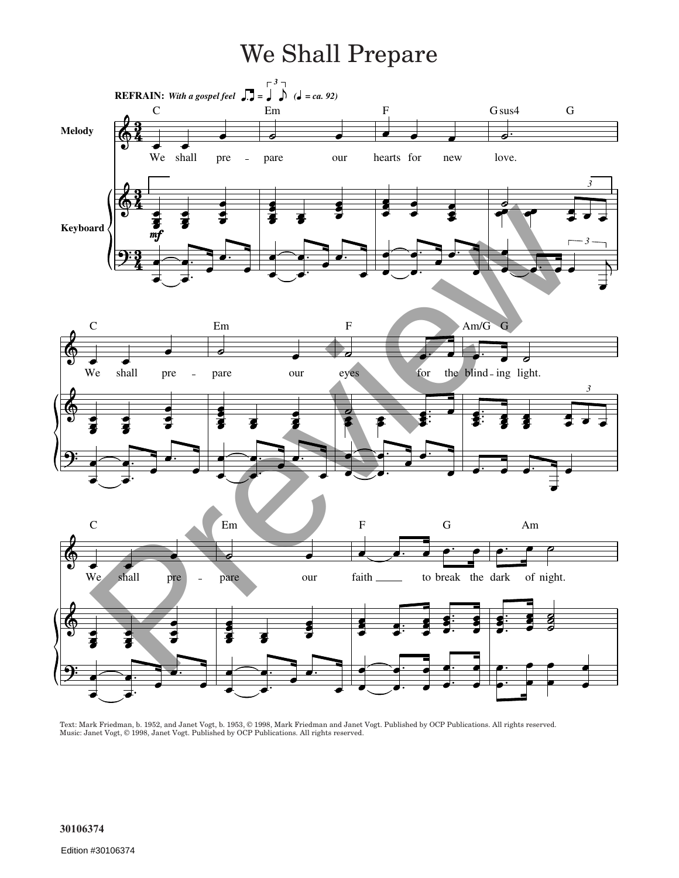## We Shall Prepare



Text: Mark Friedman, b. 1952, and Janet Vogt, b. 1953, © 1998, Mark Friedman and Janet Vogt. Published by OCP Publications. All rights reserved.<br>Music: Janet Vogt, © 1998, Janet Vogt. Published by OCP Publications. All rig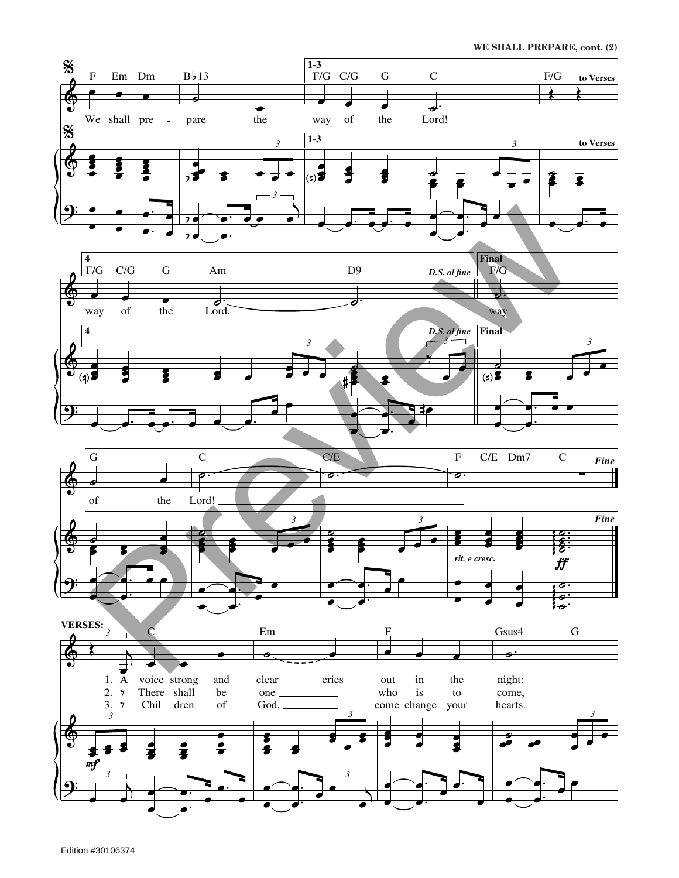